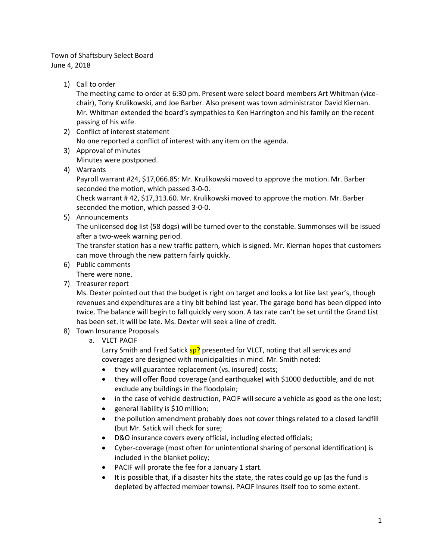## Town of Shaftsbury Select Board June 4, 2018

1) Call to order

The meeting came to order at 6:30 pm. Present were select board members Art Whitman (vicechair), Tony Krulikowski, and Joe Barber. Also present was town administrator David Kiernan. Mr. Whitman extended the board's sympathies to Ken Harrington and his family on the recent passing of his wife.

- 2) Conflict of interest statement No one reported a conflict of interest with any item on the agenda.
- 3) Approval of minutes Minutes were postponed.
- 4) Warrants

Payroll warrant #24, \$17,066.85: Mr. Krulikowski moved to approve the motion. Mr. Barber seconded the motion, which passed 3-0-0.

Check warrant # 42, \$17,313.60. Mr. Krulikowski moved to approve the motion. Mr. Barber seconded the motion, which passed 3-0-0.

5) Announcements

The unlicensed dog list (58 dogs) will be turned over to the constable. Summonses will be issued after a two-week warning period.

The transfer station has a new traffic pattern, which is signed. Mr. Kiernan hopes that customers can move through the new pattern fairly quickly.

6) Public comments

There were none.

7) Treasurer report

Ms. Dexter pointed out that the budget is right on target and looks a lot like last year's, though revenues and expenditures are a tiny bit behind last year. The garage bond has been dipped into twice. The balance will begin to fall quickly very soon. A tax rate can't be set until the Grand List has been set. It will be late. Ms. Dexter will seek a line of credit.

- 8) Town Insurance Proposals
	- a. VLCT PACIF

Larry Smith and Fred Satick  $\frac{sp?}{sp?}$  presented for VLCT, noting that all services and coverages are designed with municipalities in mind. Mr. Smith noted:

- they will guarantee replacement (vs. insured) costs;
- they will offer flood coverage (and earthquake) with \$1000 deductible, and do not exclude any buildings in the floodplain;
- in the case of vehicle destruction, PACIF will secure a vehicle as good as the one lost;
- general liability is \$10 million;
- the pollution amendment probably does not cover things related to a closed landfill (but Mr. Satick will check for sure;
- D&O insurance covers every official, including elected officials;
- Cyber-coverage (most often for unintentional sharing of personal identification) is included in the blanket policy;
- PACIF will prorate the fee for a January 1 start.
- It is possible that, if a disaster hits the state, the rates could go up (as the fund is depleted by affected member towns). PACIF insures itself too to some extent.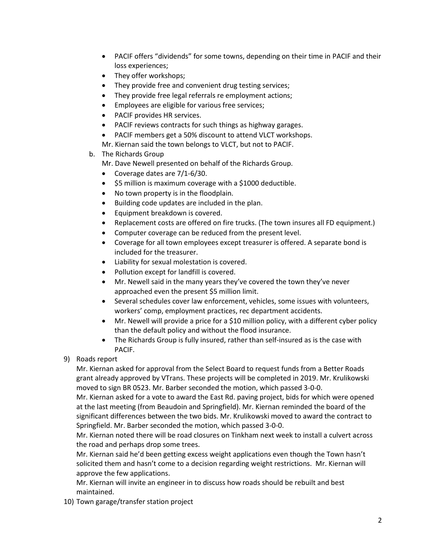- PACIF offers "dividends" for some towns, depending on their time in PACIF and their loss experiences;
- They offer workshops;
- They provide free and convenient drug testing services;
- They provide free legal referrals re employment actions;
- **•** Employees are eligible for various free services;
- PACIF provides HR services.
- PACIF reviews contracts for such things as highway garages.
- PACIF members get a 50% discount to attend VLCT workshops.
- Mr. Kiernan said the town belongs to VLCT, but not to PACIF.
- b. The Richards Group

Mr. Dave Newell presented on behalf of the Richards Group.

- Coverage dates are 7/1-6/30.
- \$5 million is maximum coverage with a \$1000 deductible.
- No town property is in the floodplain.
- Building code updates are included in the plan.
- **Equipment breakdown is covered.**
- Replacement costs are offered on fire trucks. (The town insures all FD equipment.)
- Computer coverage can be reduced from the present level.
- Coverage for all town employees except treasurer is offered. A separate bond is included for the treasurer.
- Liability for sexual molestation is covered.
- Pollution except for landfill is covered.
- Mr. Newell said in the many years they've covered the town they've never approached even the present \$5 million limit.
- Several schedules cover law enforcement, vehicles, some issues with volunteers, workers' comp, employment practices, rec department accidents.
- Mr. Newell will provide a price for a \$10 million policy, with a different cyber policy than the default policy and without the flood insurance.
- The Richards Group is fully insured, rather than self-insured as is the case with PACIF.
- 9) Roads report

Mr. Kiernan asked for approval from the Select Board to request funds from a Better Roads grant already approved by VTrans. These projects will be completed in 2019. Mr. Krulikowski moved to sign BR 0523. Mr. Barber seconded the motion, which passed 3-0-0.

Mr. Kiernan asked for a vote to award the East Rd. paving project, bids for which were opened at the last meeting (from Beaudoin and Springfield). Mr. Kiernan reminded the board of the significant differences between the two bids. Mr. Krulikowski moved to award the contract to Springfield. Mr. Barber seconded the motion, which passed 3-0-0.

Mr. Kiernan noted there will be road closures on Tinkham next week to install a culvert across the road and perhaps drop some trees.

Mr. Kiernan said he'd been getting excess weight applications even though the Town hasn't solicited them and hasn't come to a decision regarding weight restrictions. Mr. Kiernan will approve the few applications.

Mr. Kiernan will invite an engineer in to discuss how roads should be rebuilt and best maintained.

10) Town garage/transfer station project